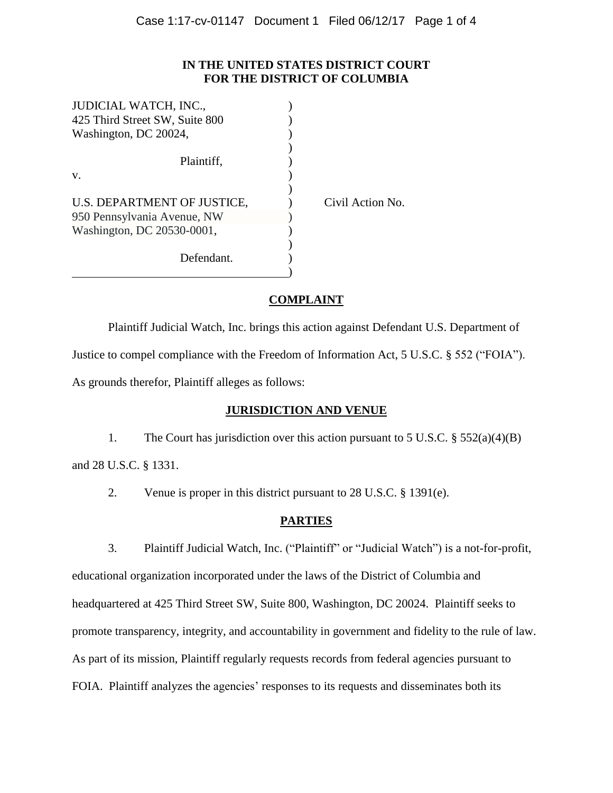## **IN THE UNITED STATES DISTRICT COURT FOR THE DISTRICT OF COLUMBIA**

| JUDICIAL WATCH, INC.,          |                  |
|--------------------------------|------------------|
| 425 Third Street SW, Suite 800 |                  |
| Washington, DC 20024,          |                  |
|                                |                  |
| Plaintiff,                     |                  |
| V.                             |                  |
|                                |                  |
| U.S. DEPARTMENT OF JUSTICE,    | Civil Action No. |
| 950 Pennsylvania Avenue, NW    |                  |
| Washington, DC 20530-0001,     |                  |
|                                |                  |
| Defendant.                     |                  |
|                                |                  |
|                                |                  |

# **COMPLAINT**

Plaintiff Judicial Watch, Inc. brings this action against Defendant U.S. Department of Justice to compel compliance with the Freedom of Information Act, 5 U.S.C. § 552 ("FOIA"). As grounds therefor, Plaintiff alleges as follows:

## **JURISDICTION AND VENUE**

1. The Court has jurisdiction over this action pursuant to 5 U.S.C. § 552(a)(4)(B) and 28 U.S.C. § 1331.

2. Venue is proper in this district pursuant to 28 U.S.C. § 1391(e).

# **PARTIES**

3. Plaintiff Judicial Watch, Inc. ("Plaintiff" or "Judicial Watch") is a not-for-profit, educational organization incorporated under the laws of the District of Columbia and headquartered at 425 Third Street SW, Suite 800, Washington, DC 20024. Plaintiff seeks to promote transparency, integrity, and accountability in government and fidelity to the rule of law. As part of its mission, Plaintiff regularly requests records from federal agencies pursuant to FOIA. Plaintiff analyzes the agencies' responses to its requests and disseminates both its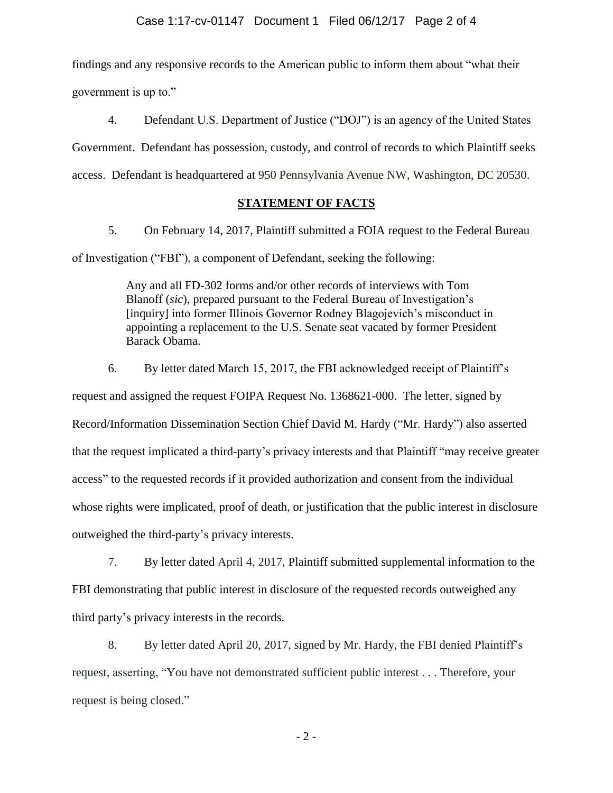findings and any responsive records to the American public to inform them about "what their government is up to."

4. Defendant U.S. Department of Justice ("DOJ") is an agency of the United States Government. Defendant has possession, custody, and control of records to which Plaintiff seeks access. Defendant is headquartered at 950 Pennsylvania Avenue NW, Washington, DC 20530.

## **STATEMENT OF FACTS**

5. On February 14, 2017, Plaintiff submitted a FOIA request to the Federal Bureau of Investigation ("FBI"), a component of Defendant, seeking the following:

> Any and all FD-302 forms and/or other records of interviews with Tom Blanoff (*sic*), prepared pursuant to the Federal Bureau of Investigation's [inquiry] into former Illinois Governor Rodney Blagojevich's misconduct in appointing a replacement to the U.S. Senate seat vacated by former President Barack Obama.

6. By letter dated March 15, 2017, the FBI acknowledged receipt of Plaintiff's request and assigned the request FOIPA Request No. 1368621-000. The letter, signed by Record/Information Dissemination Section Chief David M. Hardy ("Mr. Hardy") also asserted that the request implicated a third-party's privacy interests and that Plaintiff "may receive greater access" to the requested records if it provided authorization and consent from the individual whose rights were implicated, proof of death, or justification that the public interest in disclosure outweighed the third-party's privacy interests.

7. By letter dated April 4, 2017, Plaintiff submitted supplemental information to the FBI demonstrating that public interest in disclosure of the requested records outweighed any third party's privacy interests in the records.

8. By letter dated April 20, 2017, signed by Mr. Hardy, the FBI denied Plaintiff's request, asserting, "You have not demonstrated sufficient public interest . . . Therefore, your request is being closed."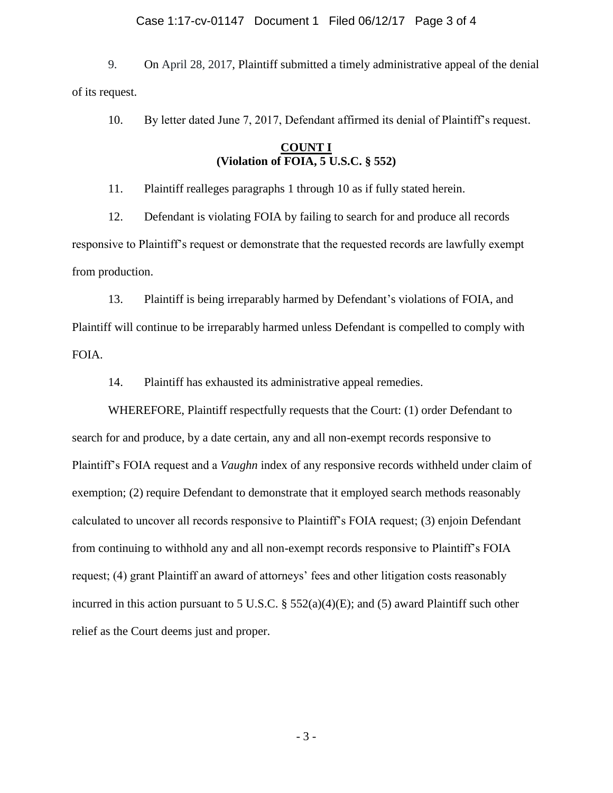#### Case 1:17-cv-01147 Document 1 Filed 06/12/17 Page 3 of 4

9. On April 28, 2017, Plaintiff submitted a timely administrative appeal of the denial of its request.

10. By letter dated June 7, 2017, Defendant affirmed its denial of Plaintiff's request.

## **COUNT I (Violation of FOIA, 5 U.S.C. § 552)**

11. Plaintiff realleges paragraphs 1 through 10 as if fully stated herein.

12. Defendant is violating FOIA by failing to search for and produce all records responsive to Plaintiff's request or demonstrate that the requested records are lawfully exempt from production.

13. Plaintiff is being irreparably harmed by Defendant's violations of FOIA, and Plaintiff will continue to be irreparably harmed unless Defendant is compelled to comply with FOIA.

14. Plaintiff has exhausted its administrative appeal remedies.

WHEREFORE, Plaintiff respectfully requests that the Court: (1) order Defendant to search for and produce, by a date certain, any and all non-exempt records responsive to Plaintiff's FOIA request and a *Vaughn* index of any responsive records withheld under claim of exemption; (2) require Defendant to demonstrate that it employed search methods reasonably calculated to uncover all records responsive to Plaintiff's FOIA request; (3) enjoin Defendant from continuing to withhold any and all non-exempt records responsive to Plaintiff's FOIA request; (4) grant Plaintiff an award of attorneys' fees and other litigation costs reasonably incurred in this action pursuant to 5 U.S.C. § 552(a)(4)(E); and (5) award Plaintiff such other relief as the Court deems just and proper.